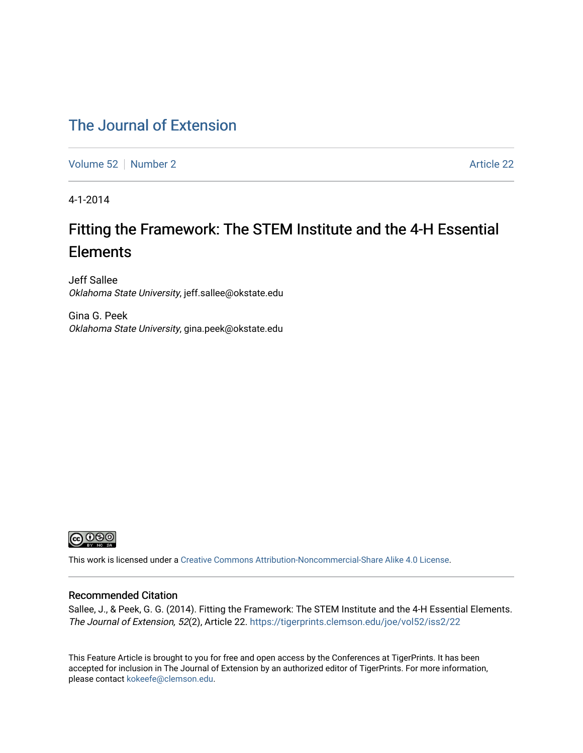### [The Journal of Extension](https://tigerprints.clemson.edu/joe)

[Volume 52](https://tigerprints.clemson.edu/joe/vol52) [Number 2](https://tigerprints.clemson.edu/joe/vol52/iss2)  $\sim$  2008 Number 2 Article 22

4-1-2014

# Fitting the Framework: The STEM Institute and the 4-H Essential **Elements**

Jeff Sallee Oklahoma State University, jeff.sallee@okstate.edu

Gina G. Peek Oklahoma State University, gina.peek@okstate.edu



This work is licensed under a [Creative Commons Attribution-Noncommercial-Share Alike 4.0 License.](https://creativecommons.org/licenses/by-nc-sa/4.0/)

#### Recommended Citation

Sallee, J., & Peek, G. G. (2014). Fitting the Framework: The STEM Institute and the 4-H Essential Elements. The Journal of Extension, 52(2), Article 22. <https://tigerprints.clemson.edu/joe/vol52/iss2/22>

This Feature Article is brought to you for free and open access by the Conferences at TigerPrints. It has been accepted for inclusion in The Journal of Extension by an authorized editor of TigerPrints. For more information, please contact [kokeefe@clemson.edu](mailto:kokeefe@clemson.edu).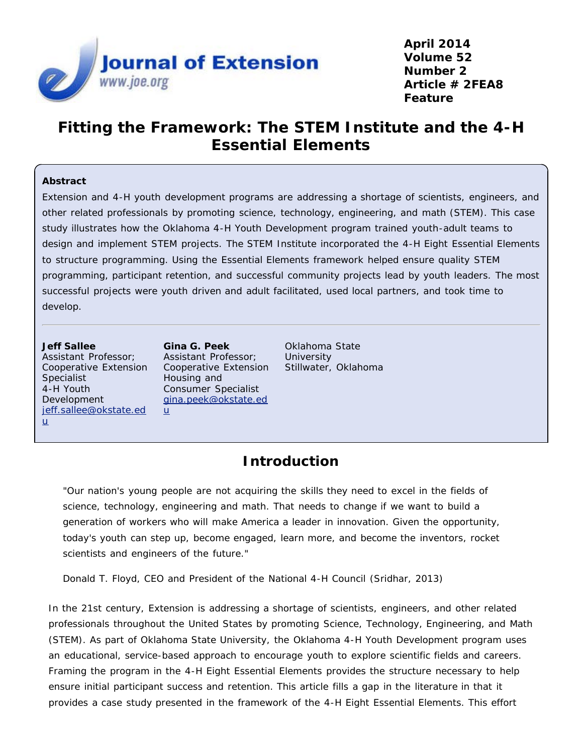

**April 2014 Volume 52 Number 2 Article # 2FEA8 Feature**

### **Fitting the Framework: The STEM Institute and the 4-H Essential Elements**

#### **Abstract**

Extension and 4-H youth development programs are addressing a shortage of scientists, engineers, and other related professionals by promoting science, technology, engineering, and math (STEM). This case study illustrates how the Oklahoma 4-H Youth Development program trained youth-adult teams to design and implement STEM projects. The STEM Institute incorporated the 4-H Eight Essential Elements to structure programming. Using the Essential Elements framework helped ensure quality STEM programming, participant retention, and successful community projects lead by youth leaders. The most successful projects were youth driven and adult facilitated, used local partners, and took time to develop.

**Jeff Sallee** Assistant Professor; Cooperative Extension Specialist 4-H Youth Development [jeff.sallee@okstate.ed](mailto:jeff.sallee@okstate.edu) [u](mailto:jeff.sallee@okstate.edu)

**Gina G. Peek** Assistant Professor; Cooperative Extension Housing and Consumer Specialist [gina.peek@okstate.ed](mailto:gina.peek@okstate.edu) [u](mailto:gina.peek@okstate.edu)

Oklahoma State **University** Stillwater, Oklahoma

### **Introduction**

*"Our nation's young people are not acquiring the skills they need to excel in the fields of science, technology, engineering and math. That needs to change if we want to build a generation of workers who will make America a leader in innovation. Given the opportunity, today's youth can step up, become engaged, learn more, and become the inventors, rocket scientists and engineers of the future."*

*Donald T. Floyd, CEO and President of the National 4-H Council (Sridhar, 2013)*

In the 21st century, Extension is addressing a shortage of scientists, engineers, and other related professionals throughout the United States by promoting Science, Technology, Engineering, and Math (STEM). As part of Oklahoma State University, the Oklahoma 4-H Youth Development program uses an educational, service-based approach to encourage youth to explore scientific fields and careers. Framing the program in the 4-H Eight Essential Elements provides the structure necessary to help ensure initial participant success and retention. This article fills a gap in the literature in that it provides a case study presented in the framework of the 4-H Eight Essential Elements. This effort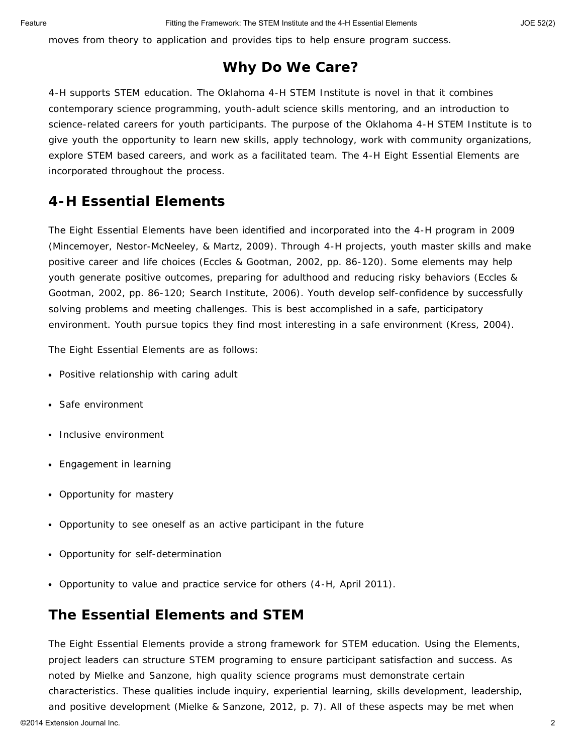moves from theory to application and provides tips to help ensure program success.

#### **Why Do We Care?**

4-H supports STEM education. The Oklahoma 4-H STEM Institute is novel in that it combines contemporary science programming, youth-adult science skills mentoring, and an introduction to science-related careers for youth participants. The purpose of the Oklahoma 4-H STEM Institute is to give youth the opportunity to learn new skills, apply technology, work with community organizations, explore STEM based careers, and work as a facilitated team. The 4-H Eight Essential Elements are incorporated throughout the process.

### **4-H Essential Elements**

The Eight Essential Elements have been identified and incorporated into the 4-H program in 2009 (Mincemoyer, Nestor-McNeeley, & Martz, 2009). Through 4-H projects, youth master skills and make positive career and life choices (Eccles & Gootman, 2002, pp. 86-120). Some elements may help youth generate positive outcomes, preparing for adulthood and reducing risky behaviors (Eccles & Gootman, 2002, pp. 86-120; Search Institute, 2006). Youth develop self-confidence by successfully solving problems and meeting challenges. This is best accomplished in a safe, participatory environment. Youth pursue topics they find most interesting in a safe environment (Kress, 2004).

The Eight Essential Elements are as follows:

- Positive relationship with caring adult
- Safe environment
- Inclusive environment
- Engagement in learning
- Opportunity for mastery
- Opportunity to see oneself as an active participant in the future
- Opportunity for self-determination
- Opportunity to value and practice service for others (4-H, April 2011).

#### **The Essential Elements and STEM**

The Eight Essential Elements provide a strong framework for STEM education. Using the Elements, project leaders can structure STEM programing to ensure participant satisfaction and success. As noted by Mielke and Sanzone, high quality science programs must demonstrate certain characteristics. These qualities include inquiry, experiential learning, skills development, leadership, and positive development (Mielke & Sanzone, 2012, p. 7). All of these aspects may be met when ©2014 Extension Journal Inc. 2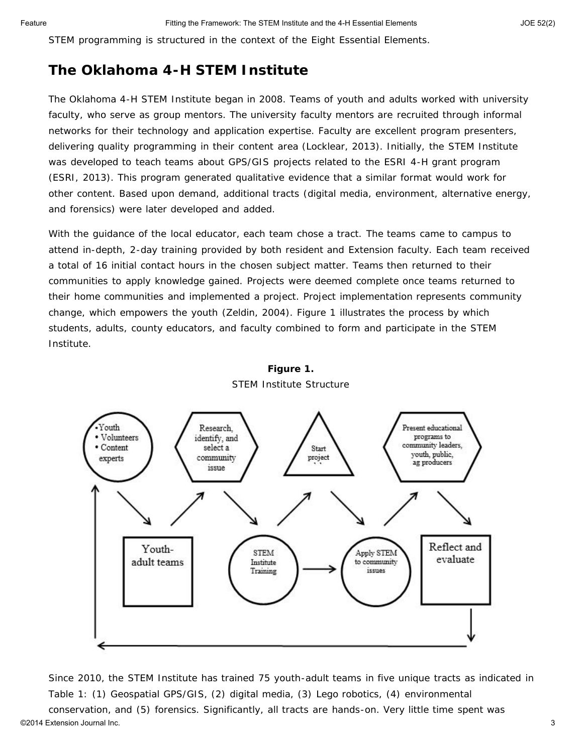STEM programming is structured in the context of the Eight Essential Elements.

#### **The Oklahoma 4-H STEM Institute**

The Oklahoma 4-H STEM Institute began in 2008. Teams of youth and adults worked with university faculty, who serve as group mentors. The university faculty mentors are recruited through informal networks for their technology and application expertise. Faculty are excellent program presenters, delivering quality programming in their content area (Locklear, 2013). Initially, the STEM Institute was developed to teach teams about GPS/GIS projects related to the ESRI 4-H grant program (ESRI, 2013). This program generated qualitative evidence that a similar format would work for other content. Based upon demand, additional tracts (digital media, environment, alternative energy, and forensics) were later developed and added.

With the guidance of the local educator, each team chose a tract. The teams came to campus to attend in-depth, 2-day training provided by both resident and Extension faculty. Each team received a total of 16 initial contact hours in the chosen subject matter. Teams then returned to their communities to apply knowledge gained. Projects were deemed complete once teams returned to their home communities and implemented a project. Project implementation represents community change, which empowers the youth (Zeldin, 2004). Figure 1 illustrates the process by which students, adults, county educators, and faculty combined to form and participate in the STEM Institute.



#### **Figure 1.** STEM Institute Structure

Since 2010, the STEM Institute has trained 75 youth-adult teams in five unique tracts as indicated in Table 1: (1) Geospatial GPS/GIS, (2) digital media, (3) Lego robotics, (4) environmental conservation, and (5) forensics. Significantly, all tracts are hands-on. Very little time spent was ©2014 Extension Journal Inc. 3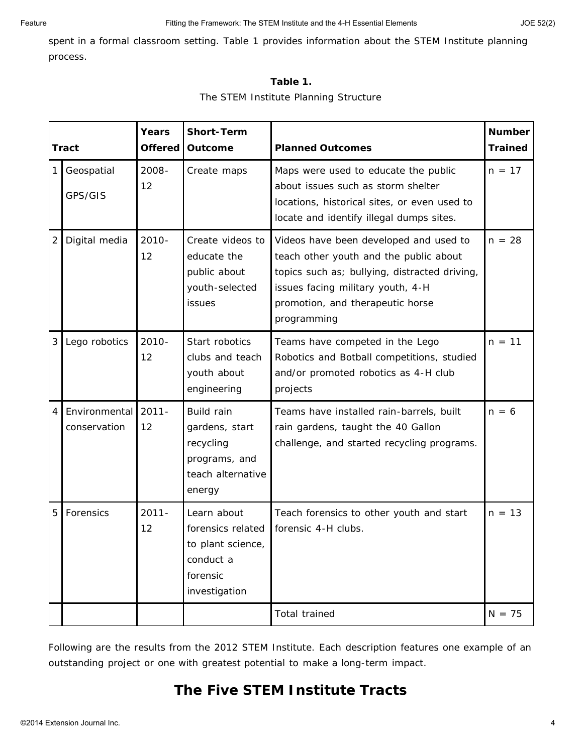spent in a formal classroom setting. Table 1 provides information about the STEM Institute planning process.

#### **Table 1.**

#### The STEM Institute Planning Structure

|                | <b>Tract</b>                  | Years<br><b>Offered</b> | <b>Short-Term</b><br><b>Outcome</b>                                                             | <b>Planned Outcomes</b>                                                                                                                                                                                                   | <b>Number</b><br><b>Trained</b> |
|----------------|-------------------------------|-------------------------|-------------------------------------------------------------------------------------------------|---------------------------------------------------------------------------------------------------------------------------------------------------------------------------------------------------------------------------|---------------------------------|
| 1              | Geospatial<br>GPS/GIS         | $2008 -$<br>12          | Create maps                                                                                     | Maps were used to educate the public<br>about issues such as storm shelter<br>locations, historical sites, or even used to<br>locate and identify illegal dumps sites.                                                    | $n = 17$                        |
| $\overline{2}$ | Digital media                 | $2010 -$<br>12          | Create videos to<br>educate the<br>public about<br>youth-selected<br>issues                     | Videos have been developed and used to<br>teach other youth and the public about<br>topics such as; bullying, distracted driving,<br>issues facing military youth, 4-H<br>promotion, and therapeutic horse<br>programming | $n = 28$                        |
| 3              | Lego robotics                 | $2010 -$<br>12          | Start robotics<br>clubs and teach<br>youth about<br>engineering                                 | Teams have competed in the Lego<br>Robotics and Botball competitions, studied<br>and/or promoted robotics as 4-H club<br>projects                                                                                         | $n = 11$                        |
| 4              | Environmental<br>conservation | $2011 -$<br>12          | Build rain<br>gardens, start<br>recycling<br>programs, and<br>teach alternative<br>energy       | Teams have installed rain-barrels, built<br>rain gardens, taught the 40 Gallon<br>challenge, and started recycling programs.                                                                                              | $n = 6$                         |
| 5              | Forensics                     | $2011 -$<br>12          | Learn about<br>forensics related<br>to plant science,<br>conduct a<br>forensic<br>investigation | Teach forensics to other youth and start<br>forensic 4-H clubs.                                                                                                                                                           | $n = 13$                        |
|                |                               |                         |                                                                                                 | Total trained                                                                                                                                                                                                             | $N = 75$                        |

Following are the results from the 2012 STEM Institute. Each description features one example of an outstanding project or one with greatest potential to make a long-term impact.

### **The Five STEM Institute Tracts**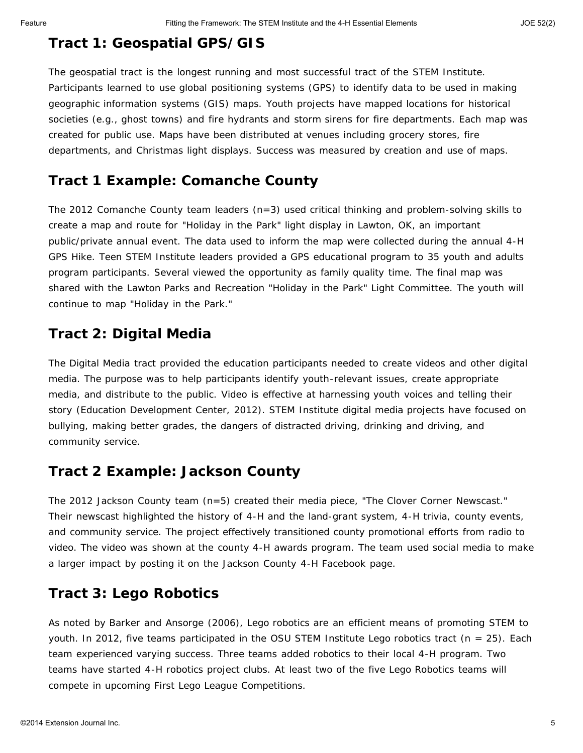### **Tract 1: Geospatial GPS/GIS**

The geospatial tract is the longest running and most successful tract of the STEM Institute. Participants learned to use global positioning systems (GPS) to identify data to be used in making geographic information systems (GIS) maps. Youth projects have mapped locations for historical societies (e.g., ghost towns) and fire hydrants and storm sirens for fire departments. Each map was created for public use. Maps have been distributed at venues including grocery stores, fire departments, and Christmas light displays. Success was measured by creation and use of maps.

#### **Tract 1 Example: Comanche County**

The 2012 Comanche County team leaders  $(n=3)$  used critical thinking and problem-solving skills to create a map and route for "Holiday in the Park" light display in Lawton, OK, an important public/private annual event. The data used to inform the map were collected during the annual 4-H GPS Hike. Teen STEM Institute leaders provided a GPS educational program to 35 youth and adults program participants. Several viewed the opportunity as family quality time. The final map was shared with the Lawton Parks and Recreation "Holiday in the Park" Light Committee. The youth will continue to map "Holiday in the Park."

### **Tract 2: Digital Media**

The Digital Media tract provided the education participants needed to create videos and other digital media. The purpose was to help participants identify youth-relevant issues, create appropriate media, and distribute to the public. Video is effective at harnessing youth voices and telling their story (Education Development Center, 2012). STEM Institute digital media projects have focused on bullying, making better grades, the dangers of distracted driving, drinking and driving, and community service.

### **Tract 2 Example: Jackson County**

The 2012 Jackson County team (n=5) created their media piece, "The Clover Corner Newscast." Their newscast highlighted the history of 4-H and the land-grant system, 4-H trivia, county events, and community service. The project effectively transitioned county promotional efforts from radio to video. The video was shown at the county 4-H awards program. The team used social media to make a larger impact by posting it on the Jackson County 4-H Facebook page.

### **Tract 3: Lego Robotics**

As noted by Barker and Ansorge (2006), Lego robotics are an efficient means of promoting STEM to youth. In 2012, five teams participated in the OSU STEM Institute Lego robotics tract (n = 25). Each team experienced varying success. Three teams added robotics to their local 4-H program. Two teams have started 4-H robotics project clubs. At least two of the five Lego Robotics teams will compete in upcoming First Lego League Competitions.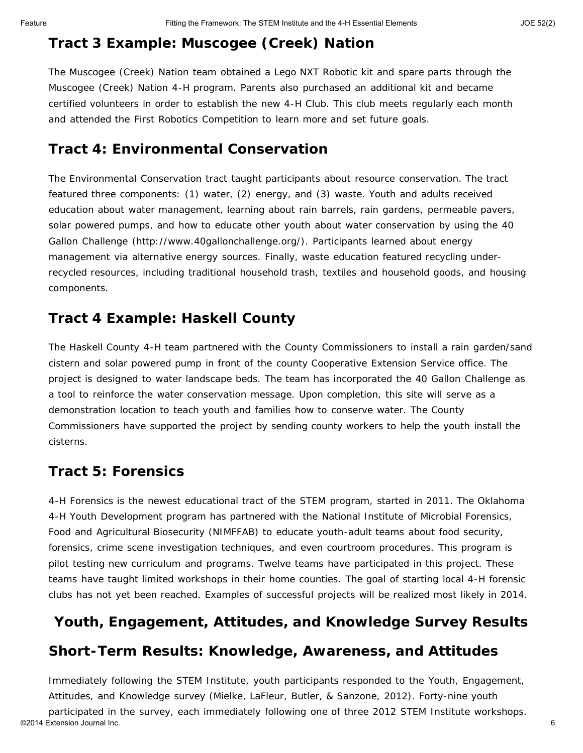## **Tract 3 Example: Muscogee (Creek) Nation**

The Muscogee (Creek) Nation team obtained a Lego NXT Robotic kit and spare parts through the Muscogee (Creek) Nation 4-H program. Parents also purchased an additional kit and became certified volunteers in order to establish the new 4-H Club. This club meets regularly each month and attended the First Robotics Competition to learn more and set future goals.

### **Tract 4: Environmental Conservation**

The Environmental Conservation tract taught participants about resource conservation. The tract featured three components: (1) water, (2) energy, and (3) waste. Youth and adults received education about water management, learning about rain barrels, rain gardens, permeable pavers, solar powered pumps, and how to educate other youth about water conservation by using the 40 Gallon Challenge (http://www.40gallonchallenge.org/). Participants learned about energy management via alternative energy sources. Finally, waste education featured recycling underrecycled resources, including traditional household trash, textiles and household goods, and housing components.

### **Tract 4 Example: Haskell County**

The Haskell County 4-H team partnered with the County Commissioners to install a rain garden/sand cistern and solar powered pump in front of the county Cooperative Extension Service office. The project is designed to water landscape beds. The team has incorporated the 40 Gallon Challenge as a tool to reinforce the water conservation message. Upon completion, this site will serve as a demonstration location to teach youth and families how to conserve water. The County Commissioners have supported the project by sending county workers to help the youth install the cisterns.

### **Tract 5: Forensics**

4-H Forensics is the newest educational tract of the STEM program, started in 2011. The Oklahoma 4-H Youth Development program has partnered with the National Institute of Microbial Forensics, Food and Agricultural Biosecurity (NIMFFAB) to educate youth-adult teams about food security, forensics, crime scene investigation techniques, and even courtroom procedures. This program is pilot testing new curriculum and programs. Twelve teams have participated in this project. These teams have taught limited workshops in their home counties. The goal of starting local 4-H forensic clubs has not yet been reached. Examples of successful projects will be realized most likely in 2014.

# **Youth, Engagement, Attitudes, and Knowledge Survey Results**

### **Short-Term Results: Knowledge, Awareness, and Attitudes**

Immediately following the STEM Institute, youth participants responded to the Youth, Engagement, Attitudes, and Knowledge survey (Mielke, LaFleur, Butler, & Sanzone, 2012). Forty-nine youth participated in the survey, each immediately following one of three 2012 STEM Institute workshops. ©2014 Extension Journal Inc. 6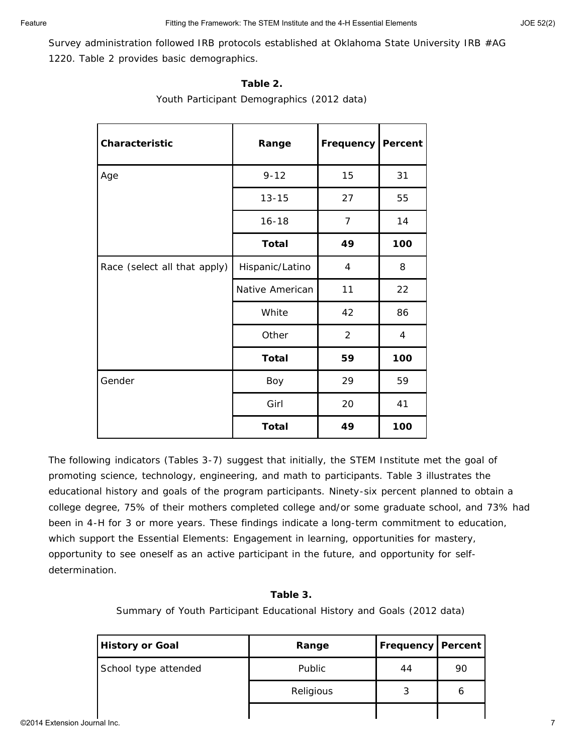Survey administration followed IRB protocols established at Oklahoma State University IRB #AG 1220. Table 2 provides basic demographics.

| Characteristic               | Range           | Frequency      | Percent |
|------------------------------|-----------------|----------------|---------|
| Age                          | $9 - 12$        | 15             | 31      |
|                              | $13 - 15$       | 27             | 55      |
|                              | $16 - 18$       | $\overline{7}$ | 14      |
|                              | <b>Total</b>    | 49             | 100     |
| Race (select all that apply) | Hispanic/Latino | 4              | 8       |
|                              | Native American | 11             | 22      |
|                              | White           | 42             | 86      |
|                              | Other           | $\overline{2}$ | 4       |
|                              | <b>Total</b>    | 59             | 100     |
| Gender                       | Boy             | 29             | 59      |
|                              | Girl            | 20             | 41      |
|                              | <b>Total</b>    | 49             | 100     |

#### **Table 2.**

Youth Participant Demographics (2012 data)

The following indicators (Tables 3-7) suggest that initially, the STEM Institute met the goal of promoting science, technology, engineering, and math to participants. Table 3 illustrates the educational history and goals of the program participants. Ninety-six percent planned to obtain a college degree, 75% of their mothers completed college and/or some graduate school, and 73% had been in 4-H for 3 or more years. These findings indicate a long-term commitment to education, which support the Essential Elements: Engagement in learning, opportunities for mastery, opportunity to see oneself as an active participant in the future, and opportunity for selfdetermination.

#### **Table 3.**

Summary of Youth Participant Educational History and Goals (2012 data)

| <b>History or Goal</b> | Range         | <b>Frequency Percent</b> |    |
|------------------------|---------------|--------------------------|----|
| School type attended   | <b>Public</b> | 44                       | 90 |
|                        | Religious     | 3                        | ь  |
|                        |               |                          |    |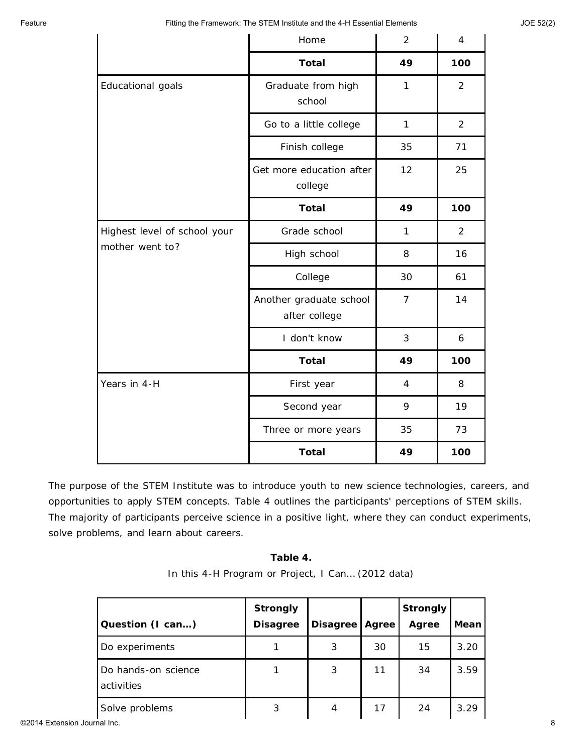|                              | Home                                     | 2              | 4              |  |  |  |
|------------------------------|------------------------------------------|----------------|----------------|--|--|--|
|                              | <b>Total</b>                             | 49             | 100            |  |  |  |
| Educational goals            | Graduate from high<br>school             | 1              |                |  |  |  |
|                              | Go to a little college                   | $\mathbf{1}$   | 2              |  |  |  |
|                              | Finish college                           | 35             | 71             |  |  |  |
|                              | Get more education after<br>college      | 12             | 25             |  |  |  |
|                              | <b>Total</b>                             | 49             | 100            |  |  |  |
| Highest level of school your | Grade school                             | 1              | $\overline{2}$ |  |  |  |
| mother went to?              | High school                              | 8              | 16             |  |  |  |
|                              | College                                  | 30             | 61             |  |  |  |
|                              | Another graduate school<br>after college | $\overline{7}$ | 14             |  |  |  |
|                              | I don't know                             | $\mathfrak{Z}$ | 6              |  |  |  |
|                              | <b>Total</b>                             | 49             | 100            |  |  |  |
| Years in 4-H                 | First year                               | 4              | 8              |  |  |  |
|                              | Second year                              | 9              | 19             |  |  |  |
|                              | Three or more years                      | 35             | 73             |  |  |  |
|                              | <b>Total</b>                             | 49             | 100            |  |  |  |

The purpose of the STEM Institute was to introduce youth to new science technologies, careers, and opportunities to apply STEM concepts. Table 4 outlines the participants' perceptions of STEM skills. The majority of participants perceive science in a positive light, where they can conduct experiments, solve problems, and learn about careers.

| III UIIS 4-H FIUGIAIII UI FIUJECI, I CAII (ZUTZ GAIA) |                                                        |  |  |                 |  |  |  |  |
|-------------------------------------------------------|--------------------------------------------------------|--|--|-----------------|--|--|--|--|
| ion (I can)                                           | <b>Strongly</b><br>Disagree   Disagree   Agree   Agree |  |  | <b>Strongly</b> |  |  |  |  |
|                                                       |                                                        |  |  |                 |  |  |  |  |

| Table 4.                                          |  |  |  |  |  |  |  |  |
|---------------------------------------------------|--|--|--|--|--|--|--|--|
| In this 4-H Program or Project, I Can (2012 data) |  |  |  |  |  |  |  |  |

|                              |                                   | Strongly        |                  |    | <b>Strongly</b> |      |
|------------------------------|-----------------------------------|-----------------|------------------|----|-----------------|------|
|                              | Question (I can)                  | <b>Disagree</b> | Disagree   Agree |    | Agree           | Mean |
|                              | Do experiments                    |                 | 3                | 30 | 15              | 3.20 |
|                              | Do hands-on science<br>activities |                 | 3                | 11 | 34              | 3.59 |
|                              | Solve problems                    | 3               | $\overline{4}$   | 17 | 24              | 3.29 |
| ©2014 Extension Journal Inc. |                                   |                 |                  |    |                 |      |

 $\overline{\Gamma}$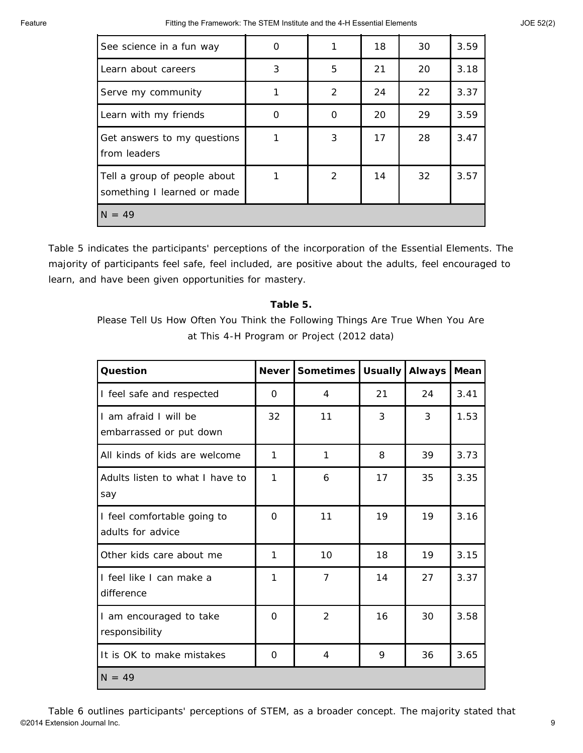| See science in a fun way                                    | O |               | 18 | 30 | 3.59 |
|-------------------------------------------------------------|---|---------------|----|----|------|
| Learn about careers                                         | 3 | 5             | 21 | 20 | 3.18 |
| Serve my community                                          | 1 | $\mathcal{P}$ | 24 | 22 | 3.37 |
| Learn with my friends                                       | 0 | 0             | 20 | 29 | 3.59 |
| Get answers to my questions<br>from leaders                 |   | 3             | 17 | 28 | 3.47 |
| Tell a group of people about<br>something I learned or made |   | $\mathcal{P}$ | 14 | 32 | 3.57 |
| $N = 49$                                                    |   |               |    |    |      |

Table 5 indicates the participants' perceptions of the incorporation of the Essential Elements. The majority of participants feel safe, feel included, are positive about the adults, feel encouraged to learn, and have been given opportunities for mastery.

#### **Table 5.**

Please Tell Us How Often You Think the Following Things Are True When You Are at This 4-H Program or Project (2012 data)

| Question                                         | <b>Never</b> | <b>Sometimes</b> | <b>Usually</b> | <b>Always</b> | Mean |
|--------------------------------------------------|--------------|------------------|----------------|---------------|------|
| I feel safe and respected                        | $\Omega$     | 4                | 21             | 24            | 3.41 |
| I am afraid I will be<br>embarrassed or put down | 32           | 11               | 3              | 3             | 1.53 |
| All kinds of kids are welcome                    | 1            | 1                | 8              | 39            | 3.73 |
| Adults listen to what I have to<br>say           | 1            | 6                | 17             | 35            | 3.35 |
| I feel comfortable going to<br>adults for advice | $\Omega$     | 11               | 19             | 19            | 3.16 |
| Other kids care about me                         | 1            | 10               | 18             | 19            | 3.15 |
| I feel like I can make a<br>difference           | 1            | 7                | 14             | 27            | 3.37 |
| I am encouraged to take<br>responsibility        | $\Omega$     | $\overline{2}$   | 16             | 30            | 3.58 |
| It is OK to make mistakes                        | 0            | 4                | 9              | 36            | 3.65 |
| $N = 49$                                         |              |                  |                |               |      |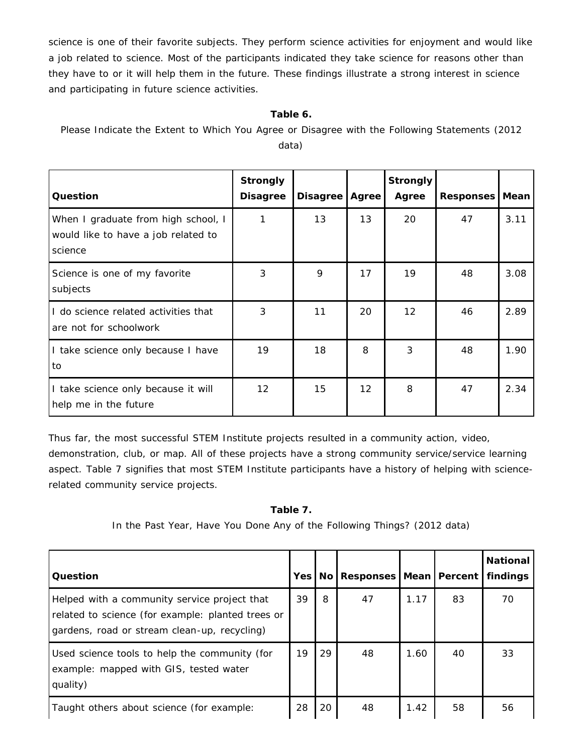science is one of their favorite subjects. They perform science activities for enjoyment and would like a job related to science. Most of the participants indicated they take science for reasons other than they have to or it will help them in the future. These findings illustrate a strong interest in science and participating in future science activities.

#### **Table 6.**

Please Indicate the Extent to Which You Agree or Disagree with the Following Statements (2012 data)

| Question                                                                              | <b>Strongly</b><br><b>Disagree</b> | <b>Disagree</b> | Agree | <b>Strongly</b><br>Agree | Responses   Mean |      |
|---------------------------------------------------------------------------------------|------------------------------------|-----------------|-------|--------------------------|------------------|------|
| When I graduate from high school, I<br>would like to have a job related to<br>science | 1                                  | 13              | 13    | 20                       | 47               | 3.11 |
| Science is one of my favorite<br>subjects                                             | 3                                  | 9               | 17    | 19                       | 48               | 3.08 |
| I do science related activities that<br>are not for schoolwork                        | 3                                  | 11              | 20    | 12                       | 46               | 2.89 |
| I take science only because I have<br>to                                              | 19                                 | 18              | 8     | 3                        | 48               | 1.90 |
| I take science only because it will<br>help me in the future                          | 12                                 | 15              | 12    | 8                        | 47               | 2.34 |

Thus far, the most successful STEM Institute projects resulted in a community action, video, demonstration, club, or map. All of these projects have a strong community service/service learning aspect. Table 7 signifies that most STEM Institute participants have a history of helping with sciencerelated community service projects.

#### **Table 7.**

In the Past Year, Have You Done Any of the Following Things? (2012 data)

| Question                                                                                                                                          | Yes I |    | No   Responses   Mean   Percent |      |    | <b>National</b><br>findinas |
|---------------------------------------------------------------------------------------------------------------------------------------------------|-------|----|---------------------------------|------|----|-----------------------------|
| Helped with a community service project that<br>related to science (for example: planted trees or<br>gardens, road or stream clean-up, recycling) | 39    | 8  | 47                              | 1.17 | 83 | 70                          |
| Used science tools to help the community (for<br>example: mapped with GIS, tested water<br>quality)                                               | 19    | 29 | 48                              | 1.60 | 40 | 33                          |
| Taught others about science (for example:                                                                                                         | 28    | 20 | 48                              | 1.42 | 58 | 56                          |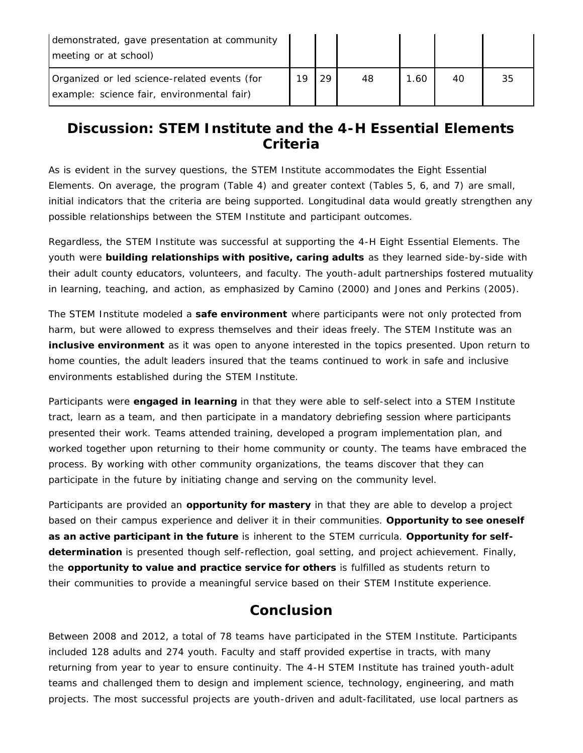| demonstrated, gave presentation at community<br>meeting or at school)                      |     |    |    |     |    |    |
|--------------------------------------------------------------------------------------------|-----|----|----|-----|----|----|
| Organized or led science-related events (for<br>example: science fair, environmental fair) | 1 Q | 29 | 48 | .60 | 40 | 35 |

#### **Discussion: STEM Institute and the 4-H Essential Elements Criteria**

As is evident in the survey questions, the STEM Institute accommodates the Eight Essential Elements. On average, the program (Table 4) and greater context (Tables 5, 6, and 7) are small, initial indicators that the criteria are being supported. Longitudinal data would greatly strengthen any possible relationships between the STEM Institute and participant outcomes.

Regardless, the STEM Institute was successful at supporting the 4-H Eight Essential Elements. The youth were **building relationships with positive, caring adults** as they learned side-by-side with their adult county educators, volunteers, and faculty. The youth-adult partnerships fostered mutuality in learning, teaching, and action, as emphasized by Camino (2000) and Jones and Perkins (2005).

The STEM Institute modeled a **safe environment** where participants were not only protected from harm, but were allowed to express themselves and their ideas freely. The STEM Institute was an **inclusive environment** as it was open to anyone interested in the topics presented. Upon return to home counties, the adult leaders insured that the teams continued to work in safe and inclusive environments established during the STEM Institute.

Participants were **engaged in learning** in that they were able to self-select into a STEM Institute tract, learn as a team, and then participate in a mandatory debriefing session where participants presented their work. Teams attended training, developed a program implementation plan, and worked together upon returning to their home community or county. The teams have embraced the process. By working with other community organizations, the teams discover that they can participate in the future by initiating change and serving on the community level.

Participants are provided an **opportunity for mastery** in that they are able to develop a project based on their campus experience and deliver it in their communities. **Opportunity to see oneself as an active participant in the future** is inherent to the STEM curricula. **Opportunity for selfdetermination** is presented though self-reflection, goal setting, and project achievement. Finally, the **opportunity to value and practice service for others** is fulfilled as students return to their communities to provide a meaningful service based on their STEM Institute experience.

#### **Conclusion**

Between 2008 and 2012, a total of 78 teams have participated in the STEM Institute. Participants included 128 adults and 274 youth. Faculty and staff provided expertise in tracts, with many returning from year to year to ensure continuity. The 4-H STEM Institute has trained youth-adult teams and challenged them to design and implement science, technology, engineering, and math projects. The most successful projects are youth-driven and adult-facilitated, use local partners as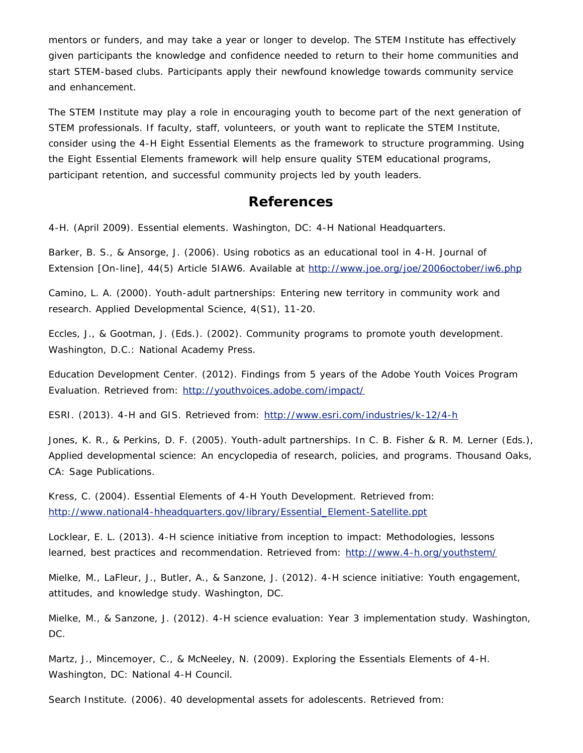mentors or funders, and may take a year or longer to develop. The STEM Institute has effectively given participants the knowledge and confidence needed to return to their home communities and start STEM-based clubs. Participants apply their newfound knowledge towards community service and enhancement.

The STEM Institute may play a role in encouraging youth to become part of the next generation of STEM professionals. If faculty, staff, volunteers, or youth want to replicate the STEM Institute, consider using the 4-H Eight Essential Elements as the framework to structure programming. Using the Eight Essential Elements framework will help ensure quality STEM educational programs, participant retention, and successful community projects led by youth leaders.

#### **References**

4-H. (April 2009). *Essential elements*. Washington, DC: 4-H National Headquarters.

Barker, B. S., & Ansorge, J. (2006). Using robotics as an educational tool in 4-H. *Journal of Extension* [On-line], 44(5) Article 5IAW6. Available at [http://www.joe.org/joe/2006october/iw6.php](http://www.google.com/url?q=http%3A%2F%2Fwww.joe.org%2Fjoe%2F2006october%2Fiw6.php&sa=D&sntz=1&usg=AFQjCNGqdYLO5dK4pXh6KMZppMyggvPHrw)

Camino, L. A. (2000). Youth-adult partnerships: Entering new territory in community work and research. *Applied Developmental Science*, 4(S1), 11-20.

Eccles, J., & Gootman, J. (Eds.). (2002). *Community programs to promote youth development*. Washington, D.C.: National Academy Press.

Education Development Center. (2012). Findings from 5 years of the Adobe Youth Voices Program Evaluation. Retrieved from: [http://youthvoices.adobe.com/impact/](http://www.google.com/url?q=http%3A%2F%2Fyouthvoices.adobe.com%2Fimpact%2F&sa=D&sntz=1&usg=AFQjCNH8_plWRfV_GSgtcfufAkEBT2NXIQ)

ESRI. (2013). 4-H and GIS. Retrieved from: [http://www.esri.com/industries/k-12/4-h](http://www.google.com/url?q=http%3A%2F%2Fwww.esri.com%2Findustries%2Fk-12%2F4-h&sa=D&sntz=1&usg=AFQjCNHntY3l5G15KS7iVdg4wDAo5yVAdw)

Jones, K. R., & Perkins, D. F. (2005). Youth-adult partnerships. In C. B. Fisher & R. M. Lerner (Eds.), *Applied developmental science: An encyclopedia of research, policies, and programs*. Thousand Oaks, CA: Sage Publications.

Kress, C. (2004). Essential Elements of 4-H Youth Development. Retrieved from: [http://www.national4-hheadquarters.gov/library/Essential\\_Element-Satellite.ppt](http://www.google.com/url?q=http%3A%2F%2Fwww.national4-hheadquarters.gov%2Flibrary%2FEssential_Element-Satellite.ppt&sa=D&sntz=1&usg=AFQjCNEU8IkPWcPHGC3GJ9y5Vf-6xdpZqQ)

Locklear, E. L. (2013). 4-H science initiative from inception to impact: Methodologies, lessons learned, best practices and recommendation. Retrieved from: [http://www.4-h.org/youthstem/](http://www.google.com/url?q=http%3A%2F%2Fwww.4-h.org%2Fyouthstem%2F&sa=D&sntz=1&usg=AFQjCNHqPW-0c2Z7-n4v-UA7xYSvdd8r_w)

Mielke, M., LaFleur, J., Butler, A., & Sanzone, J. (2012). *4-H science initiative: Youth engagement, attitudes, and knowledge study*. Washington, DC.

Mielke, M., & Sanzone, J. (2012). *4-H science evaluation: Year 3 implementation study*. Washington, DC.

Martz, J., Mincemoyer, C., & McNeeley, N. (2009). *Exploring the Essentials Elements of 4-H*. Washington, DC: National 4-H Council.

Search Institute. (2006). *40 developmental assets for adolescents*. Retrieved from: